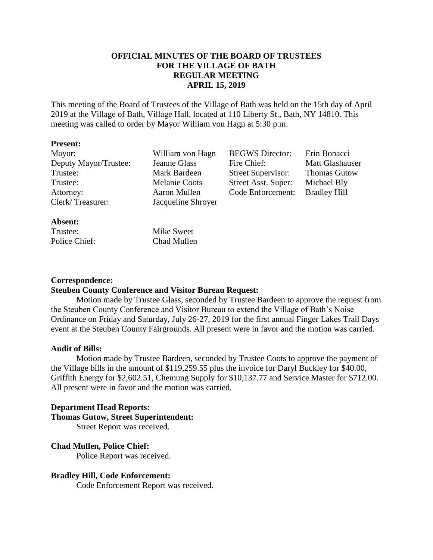# **OFFICIAL MINUTES OF THE BOARD OF TRUSTEES FOR THE VILLAGE OF BATH REGULAR MEETING APRIL 15, 2019**

This meeting of the Board of Trustees of the Village of Bath was held on the 15th day of April 2019 at the Village of Bath, Village Hall, located at 110 Liberty St., Bath, NY 14810. This meeting was called to order by Mayor William von Hagn at 5:30 p.m.

## **Present:**

| Mayor:                | William von Hagn     | <b>BEGWS</b> Director:    | Erin Bonacci           |
|-----------------------|----------------------|---------------------------|------------------------|
| Deputy Mayor/Trustee: | Jeanne Glass         | Fire Chief:               | <b>Matt Glashauser</b> |
| Trustee:              | Mark Bardeen         | <b>Street Supervisor:</b> | <b>Thomas Gutow</b>    |
| Trustee:              | <b>Melanie Coots</b> | Street Asst. Super:       | Michael Bly            |
| Attorney:             | Aaron Mullen         | Code Enforcement:         | <b>Bradley Hill</b>    |
| Clerk/Treasurer:      | Jacqueline Shroyer   |                           |                        |
|                       |                      |                           |                        |

## **Absent:**

Trustee: Mike Sweet Police Chief: Chad Mullen

**Correspondence:**

# **Steuben County Conference and Visitor Bureau Request:**

Motion made by Trustee Glass, seconded by Trustee Bardeen to approve the request from the Steuben County Conference and Visitor Bureau to extend the Village of Bath's Noise Ordinance on Friday and Saturday, July 26-27, 2019 for the first annual Finger Lakes Trail Days event at the Steuben County Fairgrounds. All present were in favor and the motion was carried.

# **Audit of Bills:**

Motion made by Trustee Bardeen, seconded by Trustee Coots to approve the payment of the Village bills in the amount of \$119,259.55 plus the invoice for Daryl Buckley for \$40.00, Griffith Energy for \$2,602.51, Chemung Supply for \$10,137.77 and Service Master for \$712.00. All present were in favor and the motion was carried.

# **Department Head Reports:**

**Thomas Gutow, Street Superintendent:**

Street Report was received.

# **Chad Mullen, Police Chief:**

Police Report was received.

# **Bradley Hill, Code Enforcement:**

Code Enforcement Report was received.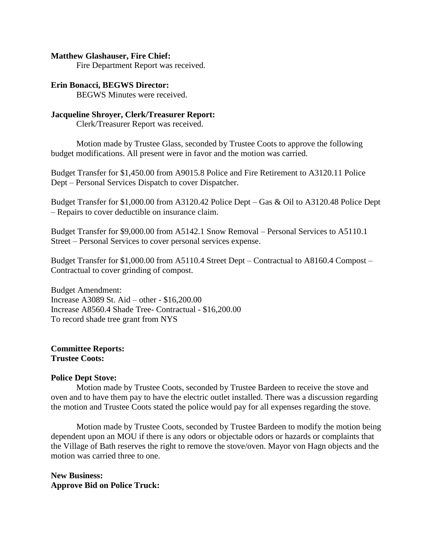## **Matthew Glashauser, Fire Chief:**

Fire Department Report was received.

# **Erin Bonacci, BEGWS Director:**

BEGWS Minutes were received.

## **Jacqueline Shroyer, Clerk/Treasurer Report:**

Clerk/Treasurer Report was received.

Motion made by Trustee Glass, seconded by Trustee Coots to approve the following budget modifications. All present were in favor and the motion was carried.

Budget Transfer for \$1,450.00 from A9015.8 Police and Fire Retirement to A3120.11 Police Dept – Personal Services Dispatch to cover Dispatcher.

Budget Transfer for \$1,000.00 from A3120.42 Police Dept – Gas & Oil to A3120.48 Police Dept – Repairs to cover deductible on insurance claim.

Budget Transfer for \$9,000.00 from A5142.1 Snow Removal – Personal Services to A5110.1 Street – Personal Services to cover personal services expense.

Budget Transfer for \$1,000.00 from A5110.4 Street Dept – Contractual to A8160.4 Compost – Contractual to cover grinding of compost.

Budget Amendment: Increase A3089 St. Aid – other - \$16,200.00 Increase A8560.4 Shade Tree- Contractual - \$16,200.00 To record shade tree grant from NYS

## **Committee Reports: Trustee Coots:**

## **Police Dept Stove:**

Motion made by Trustee Coots, seconded by Trustee Bardeen to receive the stove and oven and to have them pay to have the electric outlet installed. There was a discussion regarding the motion and Trustee Coots stated the police would pay for all expenses regarding the stove.

Motion made by Trustee Coots, seconded by Trustee Bardeen to modify the motion being dependent upon an MOU if there is any odors or objectable odors or hazards or complaints that the Village of Bath reserves the right to remove the stove/oven. Mayor von Hagn objects and the motion was carried three to one.

**New Business: Approve Bid on Police Truck:**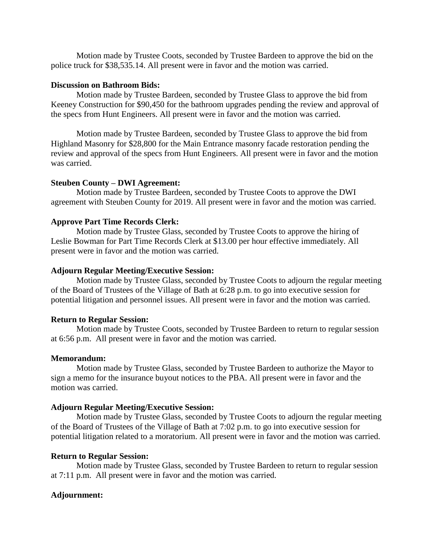Motion made by Trustee Coots, seconded by Trustee Bardeen to approve the bid on the police truck for \$38,535.14. All present were in favor and the motion was carried.

#### **Discussion on Bathroom Bids:**

Motion made by Trustee Bardeen, seconded by Trustee Glass to approve the bid from Keeney Construction for \$90,450 for the bathroom upgrades pending the review and approval of the specs from Hunt Engineers. All present were in favor and the motion was carried.

Motion made by Trustee Bardeen, seconded by Trustee Glass to approve the bid from Highland Masonry for \$28,800 for the Main Entrance masonry facade restoration pending the review and approval of the specs from Hunt Engineers. All present were in favor and the motion was carried.

#### **Steuben County – DWI Agreement:**

Motion made by Trustee Bardeen, seconded by Trustee Coots to approve the DWI agreement with Steuben County for 2019. All present were in favor and the motion was carried.

#### **Approve Part Time Records Clerk:**

Motion made by Trustee Glass, seconded by Trustee Coots to approve the hiring of Leslie Bowman for Part Time Records Clerk at \$13.00 per hour effective immediately. All present were in favor and the motion was carried.

#### **Adjourn Regular Meeting/Executive Session:**

Motion made by Trustee Glass, seconded by Trustee Coots to adjourn the regular meeting of the Board of Trustees of the Village of Bath at 6:28 p.m. to go into executive session for potential litigation and personnel issues. All present were in favor and the motion was carried.

#### **Return to Regular Session:**

Motion made by Trustee Coots, seconded by Trustee Bardeen to return to regular session at 6:56 p.m. All present were in favor and the motion was carried.

#### **Memorandum:**

Motion made by Trustee Glass, seconded by Trustee Bardeen to authorize the Mayor to sign a memo for the insurance buyout notices to the PBA. All present were in favor and the motion was carried.

#### **Adjourn Regular Meeting/Executive Session:**

Motion made by Trustee Glass, seconded by Trustee Coots to adjourn the regular meeting of the Board of Trustees of the Village of Bath at 7:02 p.m. to go into executive session for potential litigation related to a moratorium. All present were in favor and the motion was carried.

#### **Return to Regular Session:**

Motion made by Trustee Glass, seconded by Trustee Bardeen to return to regular session at 7:11 p.m. All present were in favor and the motion was carried.

## **Adjournment:**